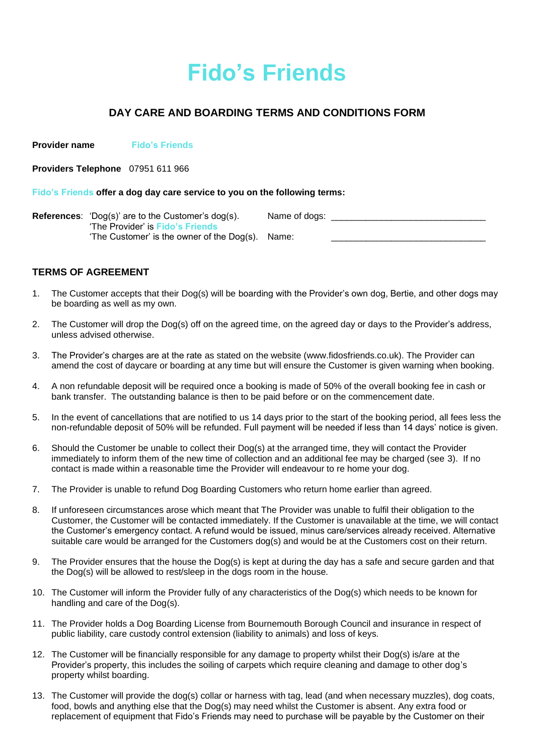# **Fido's Friends**

# **DAY CARE AND BOARDING TERMS AND CONDITIONS FORM**

**Provider name Fido's Friends**

**Providers Telephone** 07951 611 966

#### **Fido's Friends offer a dog day care service to you on the following terms:**

| <b>References:</b> 'Dog(s)' are to the Customer's $dog(s)$ . | Name of dogs: |  |
|--------------------------------------------------------------|---------------|--|
| 'The Provider' is Fido's Friends                             |               |  |
| 'The Customer' is the owner of the Dog(s). Name:             |               |  |

## **TERMS OF AGREEMENT**

- 1. The Customer accepts that their Dog(s) will be boarding with the Provider's own dog, Bertie, and other dogs may be boarding as well as my own.
- 2. The Customer will drop the Dog(s) off on the agreed time, on the agreed day or days to the Provider's address, unless advised otherwise.
- 3. The Provider's charges are at the rate as stated on the website (www.fidosfriends.co.uk). The Provider can amend the cost of daycare or boarding at any time but will ensure the Customer is given warning when booking.
- 4. A non refundable deposit will be required once a booking is made of 50% of the overall booking fee in cash or bank transfer. The outstanding balance is then to be paid before or on the commencement date.
- 5. In the event of cancellations that are notified to us 14 days prior to the start of the booking period, all fees less the non-refundable deposit of 50% will be refunded. Full payment will be needed if less than 14 days' notice is given.
- 6. Should the Customer be unable to collect their Dog(s) at the arranged time, they will contact the Provider immediately to inform them of the new time of collection and an additional fee may be charged (see 3). If no contact is made within a reasonable time the Provider will endeavour to re home your dog.
- 7. The Provider is unable to refund Dog Boarding Customers who return home earlier than agreed.
- 8. If unforeseen circumstances arose which meant that The Provider was unable to fulfil their obligation to the Customer, the Customer will be contacted immediately. If the Customer is unavailable at the time, we will contact the Customer's emergency contact. A refund would be issued, minus care/services already received. Alternative suitable care would be arranged for the Customers dog(s) and would be at the Customers cost on their return.
- 9. The Provider ensures that the house the Dog(s) is kept at during the day has a safe and secure garden and that the Dog(s) will be allowed to rest/sleep in the dogs room in the house.
- 10. The Customer will inform the Provider fully of any characteristics of the Dog(s) which needs to be known for handling and care of the Dog(s).
- 11. The Provider holds a Dog Boarding License from Bournemouth Borough Council and insurance in respect of public liability, care custody control extension (liability to animals) and loss of keys.
- 12. The Customer will be financially responsible for any damage to property whilst their Dog(s) is/are at the Provider's property, this includes the soiling of carpets which require cleaning and damage to other dog's property whilst boarding.
- 13. The Customer will provide the dog(s) collar or harness with tag, lead (and when necessary muzzles), dog coats, food, bowls and anything else that the Dog(s) may need whilst the Customer is absent. Any extra food or replacement of equipment that Fido's Friends may need to purchase will be payable by the Customer on their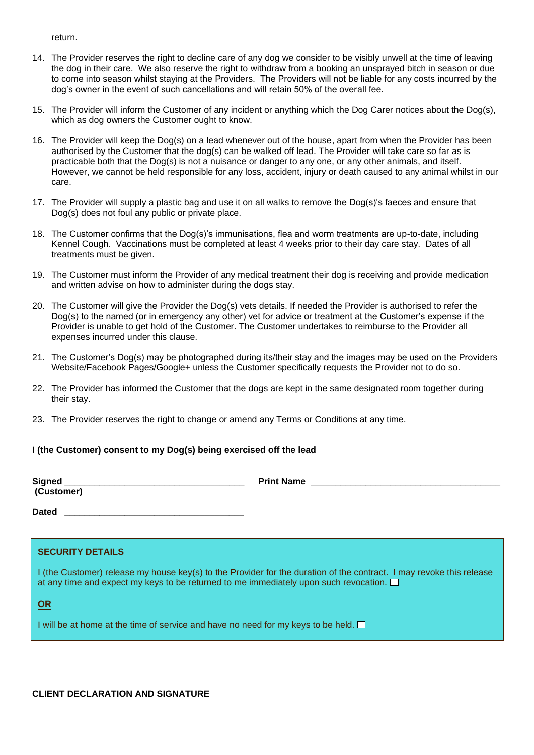return.

- 14. The Provider reserves the right to decline care of any dog we consider to be visibly unwell at the time of leaving the dog in their care. We also reserve the right to withdraw from a booking an unsprayed bitch in season or due to come into season whilst staying at the Providers. The Providers will not be liable for any costs incurred by the dog's owner in the event of such cancellations and will retain 50% of the overall fee.
- 15. The Provider will inform the Customer of any incident or anything which the Dog Carer notices about the Dog(s), which as dog owners the Customer ought to know.
- 16. The Provider will keep the Dog(s) on a lead whenever out of the house, apart from when the Provider has been authorised by the Customer that the dog(s) can be walked off lead. The Provider will take care so far as is practicable both that the Dog(s) is not a nuisance or danger to any one, or any other animals, and itself. However, we cannot be held responsible for any loss, accident, injury or death caused to any animal whilst in our care.
- 17. The Provider will supply a plastic bag and use it on all walks to remove the Dog(s)'s faeces and ensure that Dog(s) does not foul any public or private place.
- 18. The Customer confirms that the Dog(s)'s immunisations, flea and worm treatments are up-to-date, including Kennel Cough. Vaccinations must be completed at least 4 weeks prior to their day care stay. Dates of all treatments must be given.
- 19. The Customer must inform the Provider of any medical treatment their dog is receiving and provide medication and written advise on how to administer during the dogs stay.
- 20. The Customer will give the Provider the Dog(s) vets details. If needed the Provider is authorised to refer the Dog(s) to the named (or in emergency any other) vet for advice or treatment at the Customer's expense if the Provider is unable to get hold of the Customer. The Customer undertakes to reimburse to the Provider all expenses incurred under this clause.
- 21. The Customer's Dog(s) may be photographed during its/their stay and the images may be used on the Providers Website/Facebook Pages/Google+ unless the Customer specifically requests the Provider not to do so.
- 22. The Provider has informed the Customer that the dogs are kept in the same designated room together during their stay.
- 23. The Provider reserves the right to change or amend any Terms or Conditions at any time.

#### **I (the Customer) consent to my Dog(s) being exercised off the lead**

**(Customer)**

**Signed \_\_\_\_\_\_\_\_\_\_\_\_\_\_\_\_\_\_\_\_\_\_\_\_\_\_\_\_\_\_\_\_\_\_\_\_ Print Name \_\_\_\_\_\_\_\_\_\_\_\_\_\_\_\_\_\_\_\_\_\_\_\_\_\_\_\_\_\_\_\_\_\_\_\_\_\_**

**Dated \_\_\_\_\_\_\_\_\_\_\_\_\_\_\_\_\_\_\_\_\_\_\_\_\_\_\_\_\_\_\_\_\_\_\_\_**

| <b>SECURITY DETAILS</b> |  |
|-------------------------|--|
|-------------------------|--|

**Please note that your Dog(s) may be accompanied by dogs (never more than 4 in total) from other owners**  I (the Customer) release my house key(s) to the Provider for the duration of the contract. I may revoke this release at any time and expect my keys to be returned to me immediately upon such revocation.  $\square$ 

**OR**

I will be at home at the time of service and have no need for my keys to be held.  $\Box$